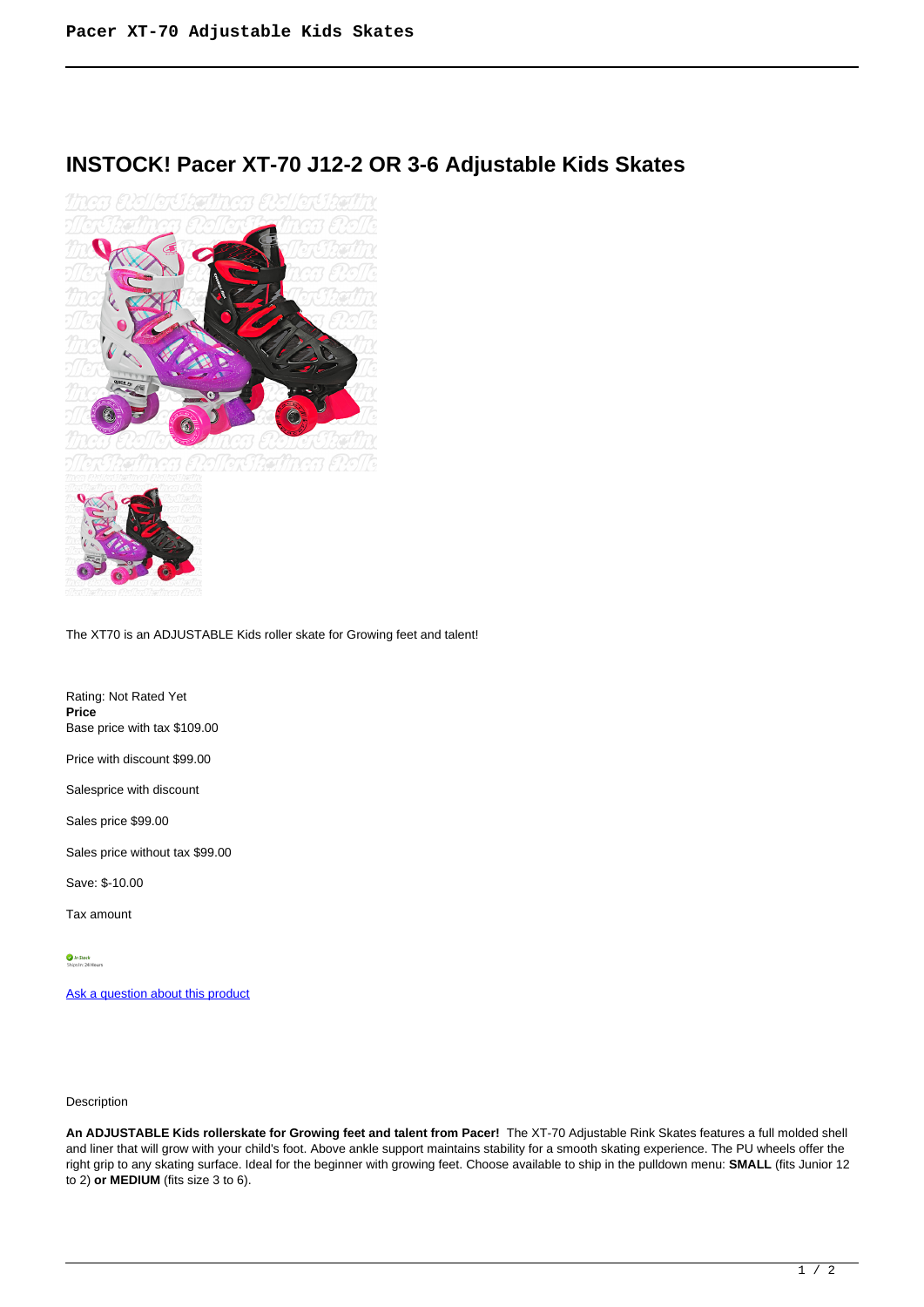## **INSTOCK! Pacer XT-70 J12-2 OR 3-6 Adjustable Kids Skates**



The XT70 is an ADJUSTABLE Kids roller skate for Growing feet and talent!

Rating: Not Rated Yet **Price**  Base price with tax \$109.00

Price with discount \$99.00

Salesprice with discount

Sales price \$99.00

Sales price without tax \$99.00

Save: \$-10.00

Tax amount

 $\bigcirc$  *In Stock*<br>Ships In: 24 Hours

[Ask a question about this product](https://rollerskatin.ca/index.php?option=com_virtuemart&view=productdetails&task=askquestion&virtuemart_product_id=988&virtuemart_category_id=28&tmpl=component)

## Description

**An ADJUSTABLE Kids rollerskate for Growing feet and talent from Pacer!** The XT-70 Adjustable Rink Skates features a full molded shell and liner that will grow with your child's foot. Above ankle support maintains stability for a smooth skating experience. The PU wheels offer the right grip to any skating surface. Ideal for the beginner with growing feet. Choose available to ship in the pulldown menu: **SMALL** (fits Junior 12 to 2) **or MEDIUM** (fits size 3 to 6).